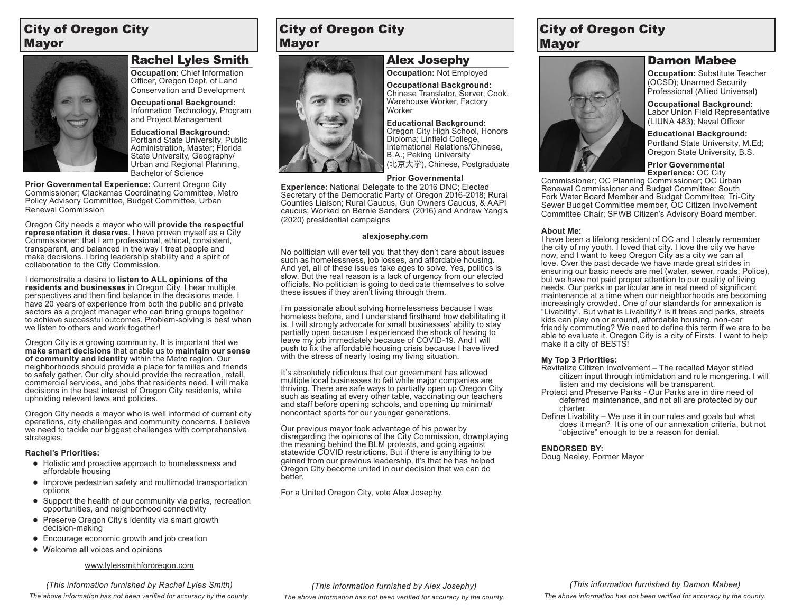## City of Oregon City Mayor



### Rachel Lyles Smith

**Occupation:** Chief Information Officer, Oregon Dept. of Land Conservation and Development

**Occupational Background:**  Information Technology, Program and Project Management

**Educational Background:** Portland State University, Public Administration, Master; Florida State University, Geography/ Urban and Regional Planning, Bachelor of Science

**Prior Governmental Experience:** Current Oregon City Commissioner; Clackamas Coordinating Committee, Metro Policy Advisory Committee, Budget Committee, Urban Renewal Commission

Oregon City needs a mayor who will **provide the respectful representation it deserves**. I have proven myself as a City Commissioner; that I am professional, ethical, consistent, transparent, and balanced in the way I treat people and make decisions. I bring leadership stability and a spirit of collaboration to the City Commission.

I demonstrate a desire to **listen to ALL opinions of the residents and businesses** in Oregon City. I hear multiple perspectives and then find balance in the decisions made. I have 20 years of experience from both the public and private sectors as a project manager who can bring groups together to achieve successful outcomes. Problem-solving is best when we listen to others and work together!

Oregon City is a growing community. It is important that we **make smart decisions** that enable us to **maintain our sense of community and identity** within the Metro region. Our neighborhoods should provide a place for families and friends to safely gather. Our city should provide the recreation, retail, commercial services, and jobs that residents need. I will make decisions in the best interest of Oregon City residents, while upholding relevant laws and policies.

Oregon City needs a mayor who is well informed of current city operations, city challenges and community concerns. I believe we need to tackle our biggest challenges with comprehensive strategies.

#### **Rachel's Priorities:**

- **●** Holistic and proactive approach to homelessness and affordable housing
- **●** Improve pedestrian safety and multimodal transportation options
- **●** Support the health of our community via parks, recreation opportunities, and neighborhood connectivity
- **●** Preserve Oregon City's identity via smart growth decision-making
- **●** Encourage economic growth and job creation
- **●** Welcome **all** voices and opinions

#### www.lylessmithfororegon.com

*The above information has not been verified for accuracy by the county. (This information furnished by Rachel Lyles Smith)*

## City of Oregon City Mayor



Alex Josephy **Occupation:** Not Employed

**Occupational Background:**  Chinese Translator, Server, Cook,

Warehouse Worker, Factory Worker

**Educational Background:** Oregon City High School, Honors Diploma; Linfield College, International Relations/Chinese, B.A.; Peking University (北京大学), Chinese, Postgraduate

### **Prior Governmental**

**Experience:** National Delegate to the 2016 DNC; Elected Secretary of the Democratic Party of Oregon 2016-2018; Rural Counties Liaison; Rural Caucus, Gun Owners Caucus, & AAPI caucus; Worked on Bernie Sanders' (2016) and Andrew Yang's (2020) presidential campaigns

#### **alexjosephy.com**

No politician will ever tell you that they don't care about issues such as homelessness, job losses, and affordable housing. And yet, all of these issues take ages to solve. Yes, politics is slow. But the real reason is a lack of urgency from our elected officials. No politician is going to dedicate themselves to solve these issues if they aren't living through them.

I'm passionate about solving homelessness because I was homeless before, and I understand firsthand how debilitating it is. I will strongly advocate for small businesses' ability to stay partially open because I experienced the shock of having to leave my job immediately because of COVID-19. And I will push to fix the affordable housing crisis because I have lived with the stress of nearly losing my living situation.

It's absolutely ridiculous that our government has allowed multiple local businesses to fail while major companies are thriving. There are safe ways to partially open up Oregon City such as seating at every other table, vaccinating our teachers and staff before opening schools, and opening up minimal/ noncontact sports for our younger generations.

Our previous mayor took advantage of his power by disregarding the opinions of the City Commission, downplaying the meaning behind the BLM protests, and going against statewide COVID restrictions. But if there is anything to be gained from our previous leadership, it's that he has helped Oregon City become united in our decision that we can do better.

For a United Oregon City, vote Alex Josephy.

### City of Oregon City Mayor

### Damon Mabee

(OCSD); Unarmed Security **Occupational Background:** 

Labor Union Field Representative (LIUNA 483); Naval Officer

**Educational Background:** Portland State University, M.Ed; Oregon State University, B.S.

**Prior Governmental Experience:** OC City

Commissioner; OC Planning Commissioner; OC Urban Renewal Commissioner and Budget Committee; South Fork Water Board Member and Budget Committee; Tri-City Sewer Budget Committee member, OC Citizen Involvement Committee Chair; SFWB Citizen's Advisory Board member.

#### **About Me:**

I have been a lifelong resident of OC and I clearly remember the city of my youth. I loved that city. I love the city we have now, and I want to keep Oregon City as a city we can all love. Over the past decade we have made great strides in ensuring our basic needs are met (water, sewer, roads, Police), but we have not paid proper attention to our quality of living needs. Our parks in particular are in real need of significant maintenance at a time when our neighborhoods are becoming increasingly crowded. One of our standards for annexation is "Livability". But what is Livability? Is it trees and parks, streets kids can play on or around, affordable housing, non-car friendly commuting? We need to define this term if we are to be able to evaluate it. Oregon City is a city of Firsts. I want to help make it a city of BESTS!

#### **My Top 3 Priorities:**

- Revitalize Citizen Involvement The recalled Mayor stifled citizen input through intimidation and rule mongering. I will listen and my decisions will be transparent.
- Protect and Preserve Parks Our Parks are in dire need of deferred maintenance, and not all are protected by our charter.
- Define Livability We use it in our rules and goals but what does it mean? It is one of our annexation criteria, but not "objective" enough to be a reason for denial.

### **ENDORSED BY:**

Doug Neeley, Former Mayor

**Occupation:** Substitute Teacher Professional (Allied Universal)